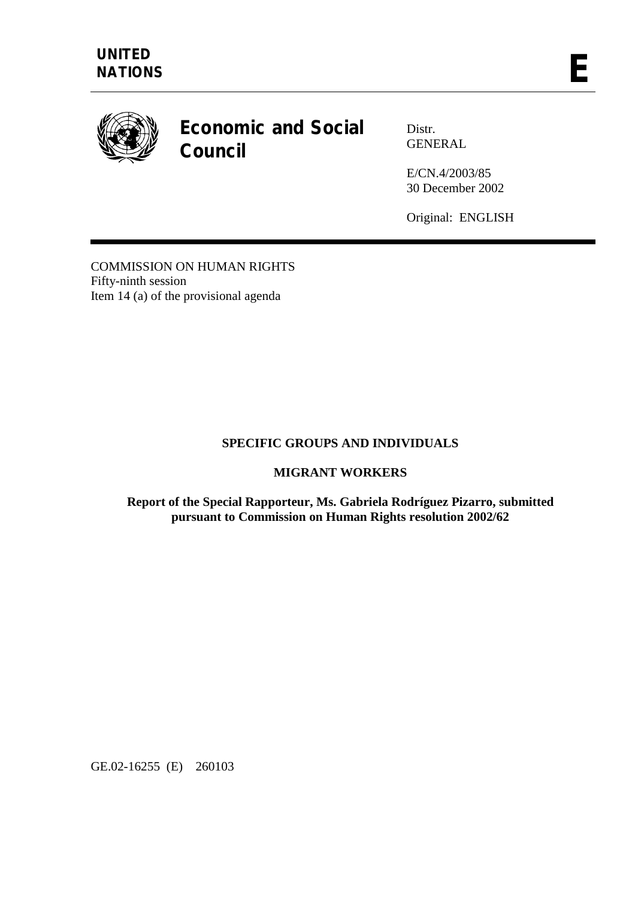

# **Economic and Social Council**

Distr. GENERAL

E/CN.4/2003/85 30 December 2002

Original: ENGLISH

COMMISSION ON HUMAN RIGHTS Fifty-ninth session Item 14 (a) of the provisional agenda

# **SPECIFIC GROUPS AND INDIVIDUALS**

# **MIGRANT WORKERS**

#### **Report of the Special Rapporteur, Ms. Gabriela Rodríguez Pizarro, submitted pursuant to Commission on Human Rights resolution 2002/62**

GE.02-16255 (E) 260103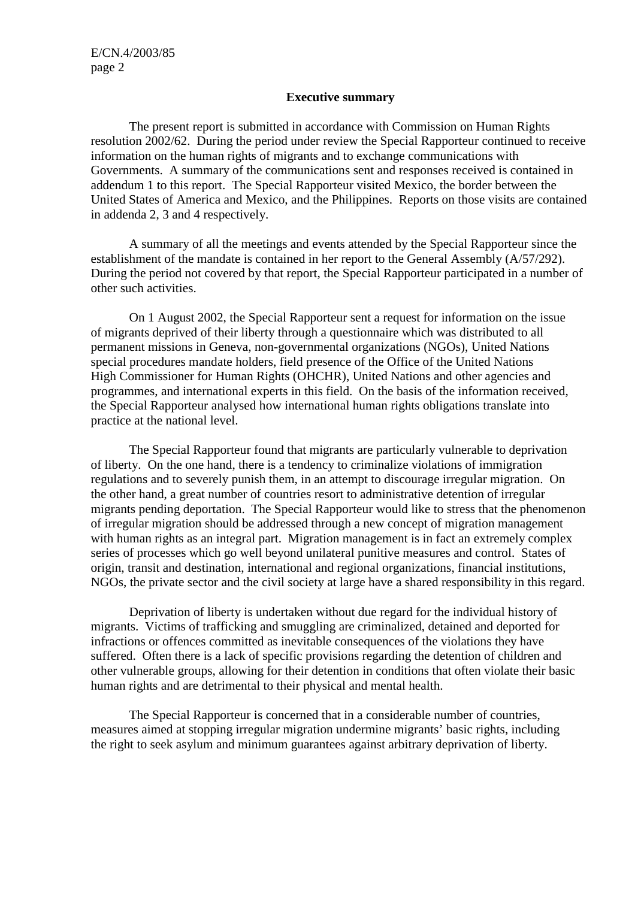#### **Executive summary**

 The present report is submitted in accordance with Commission on Human Rights resolution 2002/62. During the period under review the Special Rapporteur continued to receive information on the human rights of migrants and to exchange communications with Governments. A summary of the communications sent and responses received is contained in addendum 1 to this report. The Special Rapporteur visited Mexico, the border between the United States of America and Mexico, and the Philippines. Reports on those visits are contained in addenda 2, 3 and 4 respectively.

 A summary of all the meetings and events attended by the Special Rapporteur since the establishment of the mandate is contained in her report to the General Assembly (A/57/292). During the period not covered by that report, the Special Rapporteur participated in a number of other such activities.

 On 1 August 2002, the Special Rapporteur sent a request for information on the issue of migrants deprived of their liberty through a questionnaire which was distributed to all permanent missions in Geneva, non-governmental organizations (NGOs), United Nations special procedures mandate holders, field presence of the Office of the United Nations High Commissioner for Human Rights (OHCHR), United Nations and other agencies and programmes, and international experts in this field. On the basis of the information received, the Special Rapporteur analysed how international human rights obligations translate into practice at the national level.

 The Special Rapporteur found that migrants are particularly vulnerable to deprivation of liberty. On the one hand, there is a tendency to criminalize violations of immigration regulations and to severely punish them, in an attempt to discourage irregular migration. On the other hand, a great number of countries resort to administrative detention of irregular migrants pending deportation. The Special Rapporteur would like to stress that the phenomenon of irregular migration should be addressed through a new concept of migration management with human rights as an integral part. Migration management is in fact an extremely complex series of processes which go well beyond unilateral punitive measures and control. States of origin, transit and destination, international and regional organizations, financial institutions, NGOs, the private sector and the civil society at large have a shared responsibility in this regard.

 Deprivation of liberty is undertaken without due regard for the individual history of migrants. Victims of trafficking and smuggling are criminalized, detained and deported for infractions or offences committed as inevitable consequences of the violations they have suffered. Often there is a lack of specific provisions regarding the detention of children and other vulnerable groups, allowing for their detention in conditions that often violate their basic human rights and are detrimental to their physical and mental health.

 The Special Rapporteur is concerned that in a considerable number of countries, measures aimed at stopping irregular migration undermine migrants' basic rights, including the right to seek asylum and minimum guarantees against arbitrary deprivation of liberty.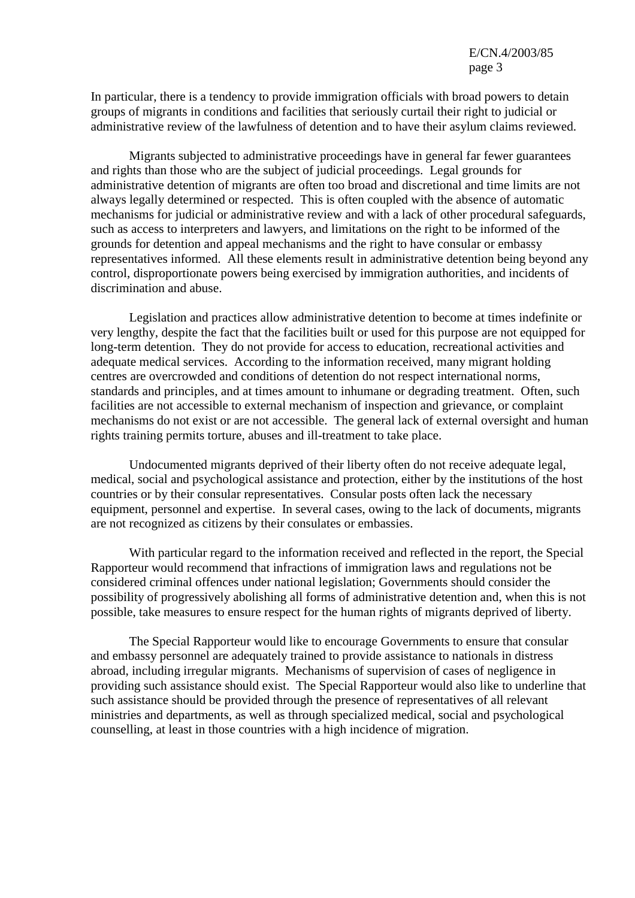In particular, there is a tendency to provide immigration officials with broad powers to detain groups of migrants in conditions and facilities that seriously curtail their right to judicial or administrative review of the lawfulness of detention and to have their asylum claims reviewed.

 Migrants subjected to administrative proceedings have in general far fewer guarantees and rights than those who are the subject of judicial proceedings. Legal grounds for administrative detention of migrants are often too broad and discretional and time limits are not always legally determined or respected. This is often coupled with the absence of automatic mechanisms for judicial or administrative review and with a lack of other procedural safeguards, such as access to interpreters and lawyers, and limitations on the right to be informed of the grounds for detention and appeal mechanisms and the right to have consular or embassy representatives informed. All these elements result in administrative detention being beyond any control, disproportionate powers being exercised by immigration authorities, and incidents of discrimination and abuse.

 Legislation and practices allow administrative detention to become at times indefinite or very lengthy, despite the fact that the facilities built or used for this purpose are not equipped for long-term detention. They do not provide for access to education, recreational activities and adequate medical services. According to the information received, many migrant holding centres are overcrowded and conditions of detention do not respect international norms, standards and principles, and at times amount to inhumane or degrading treatment. Often, such facilities are not accessible to external mechanism of inspection and grievance, or complaint mechanisms do not exist or are not accessible. The general lack of external oversight and human rights training permits torture, abuses and ill-treatment to take place.

 Undocumented migrants deprived of their liberty often do not receive adequate legal, medical, social and psychological assistance and protection, either by the institutions of the host countries or by their consular representatives. Consular posts often lack the necessary equipment, personnel and expertise. In several cases, owing to the lack of documents, migrants are not recognized as citizens by their consulates or embassies.

 With particular regard to the information received and reflected in the report, the Special Rapporteur would recommend that infractions of immigration laws and regulations not be considered criminal offences under national legislation; Governments should consider the possibility of progressively abolishing all forms of administrative detention and, when this is not possible, take measures to ensure respect for the human rights of migrants deprived of liberty.

 The Special Rapporteur would like to encourage Governments to ensure that consular and embassy personnel are adequately trained to provide assistance to nationals in distress abroad, including irregular migrants. Mechanisms of supervision of cases of negligence in providing such assistance should exist. The Special Rapporteur would also like to underline that such assistance should be provided through the presence of representatives of all relevant ministries and departments, as well as through specialized medical, social and psychological counselling, at least in those countries with a high incidence of migration.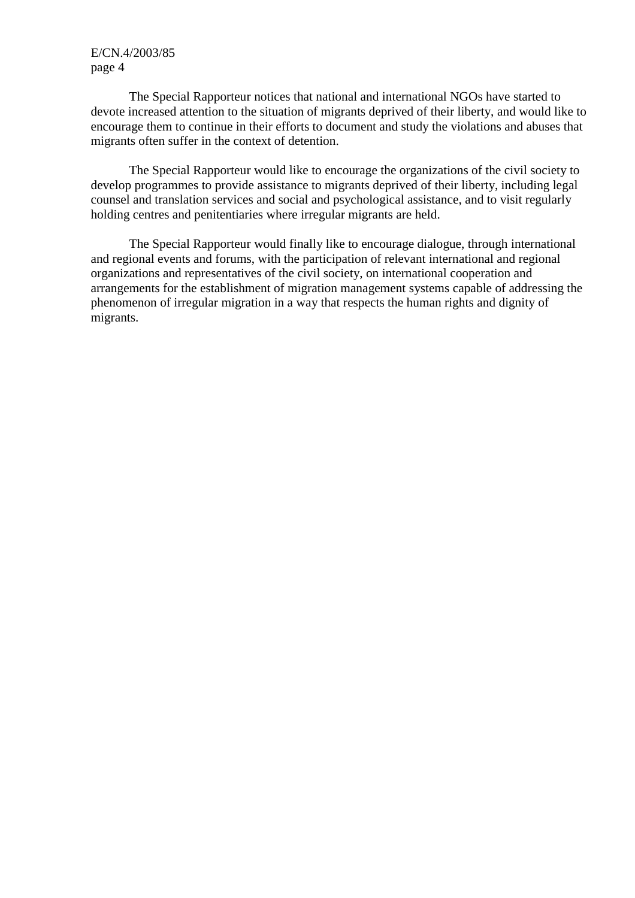The Special Rapporteur notices that national and international NGOs have started to devote increased attention to the situation of migrants deprived of their liberty, and would like to encourage them to continue in their efforts to document and study the violations and abuses that migrants often suffer in the context of detention.

 The Special Rapporteur would like to encourage the organizations of the civil society to develop programmes to provide assistance to migrants deprived of their liberty, including legal counsel and translation services and social and psychological assistance, and to visit regularly holding centres and penitentiaries where irregular migrants are held.

 The Special Rapporteur would finally like to encourage dialogue, through international and regional events and forums, with the participation of relevant international and regional organizations and representatives of the civil society, on international cooperation and arrangements for the establishment of migration management systems capable of addressing the phenomenon of irregular migration in a way that respects the human rights and dignity of migrants.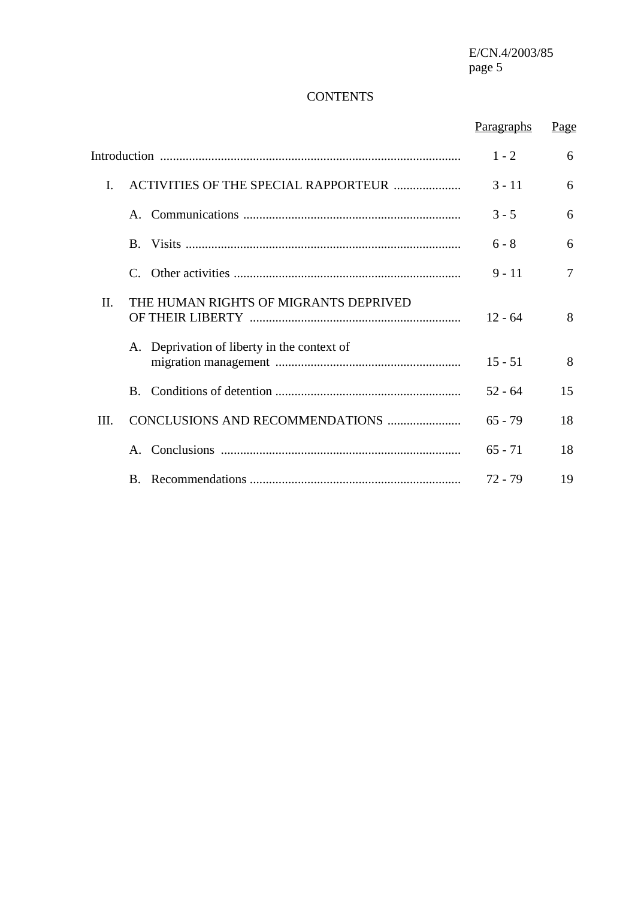E/CN.4/2003/85<br>page 5 page 5

# **CONTENTS**

|      |                                             | Paragraphs | Page |
|------|---------------------------------------------|------------|------|
|      |                                             | $1 - 2$    | 6    |
| I.   | ACTIVITIES OF THE SPECIAL RAPPORTEUR        | $3 - 11$   | 6    |
|      |                                             | $3 - 5$    | 6    |
|      |                                             | $6 - 8$    | 6    |
|      | C                                           | $9 - 11$   | 7    |
| Π.   | THE HUMAN RIGHTS OF MIGRANTS DEPRIVED       | $12 - 64$  | 8    |
|      | A. Deprivation of liberty in the context of | $15 - 51$  | 8    |
|      | $\mathbf{B}$ .                              | $52 - 64$  | 15   |
| III. | CONCLUSIONS AND RECOMMENDATIONS             | $65 - 79$  | 18   |
|      |                                             | $65 - 71$  | 18   |
|      |                                             | $72 - 79$  | 19   |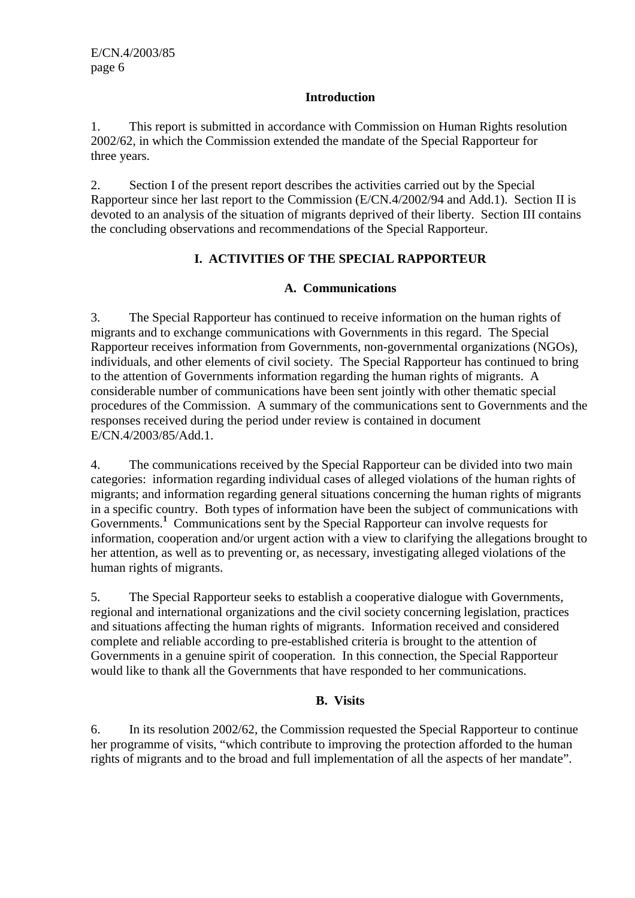# **Introduction**

1. This report is submitted in accordance with Commission on Human Rights resolution 2002/62, in which the Commission extended the mandate of the Special Rapporteur for three years.

2. Section I of the present report describes the activities carried out by the Special Rapporteur since her last report to the Commission (E/CN.4/2002/94 and Add.1). Section II is devoted to an analysis of the situation of migrants deprived of their liberty. Section III contains the concluding observations and recommendations of the Special Rapporteur.

# **I. ACTIVITIES OF THE SPECIAL RAPPORTEUR**

# **A. Communications**

3. The Special Rapporteur has continued to receive information on the human rights of migrants and to exchange communications with Governments in this regard. The Special Rapporteur receives information from Governments, non-governmental organizations (NGOs), individuals, and other elements of civil society. The Special Rapporteur has continued to bring to the attention of Governments information regarding the human rights of migrants. A considerable number of communications have been sent jointly with other thematic special procedures of the Commission. A summary of the communications sent to Governments and the responses received during the period under review is contained in document E/CN.4/2003/85/Add.1.

4. The communications received by the Special Rapporteur can be divided into two main categories: information regarding individual cases of alleged violations of the human rights of migrants; and information regarding general situations concerning the human rights of migrants in a specific country. Both types of information have been the subject of communications with Governments.<sup>1</sup> Communications sent by the Special Rapporteur can involve requests for information, cooperation and/or urgent action with a view to clarifying the allegations brought to her attention, as well as to preventing or, as necessary, investigating alleged violations of the human rights of migrants.

5. The Special Rapporteur seeks to establish a cooperative dialogue with Governments, regional and international organizations and the civil society concerning legislation, practices and situations affecting the human rights of migrants. Information received and considered complete and reliable according to pre-established criteria is brought to the attention of Governments in a genuine spirit of cooperation. In this connection, the Special Rapporteur would like to thank all the Governments that have responded to her communications.

# **B. Visits**

6. In its resolution 2002/62, the Commission requested the Special Rapporteur to continue her programme of visits, "which contribute to improving the protection afforded to the human rights of migrants and to the broad and full implementation of all the aspects of her mandate".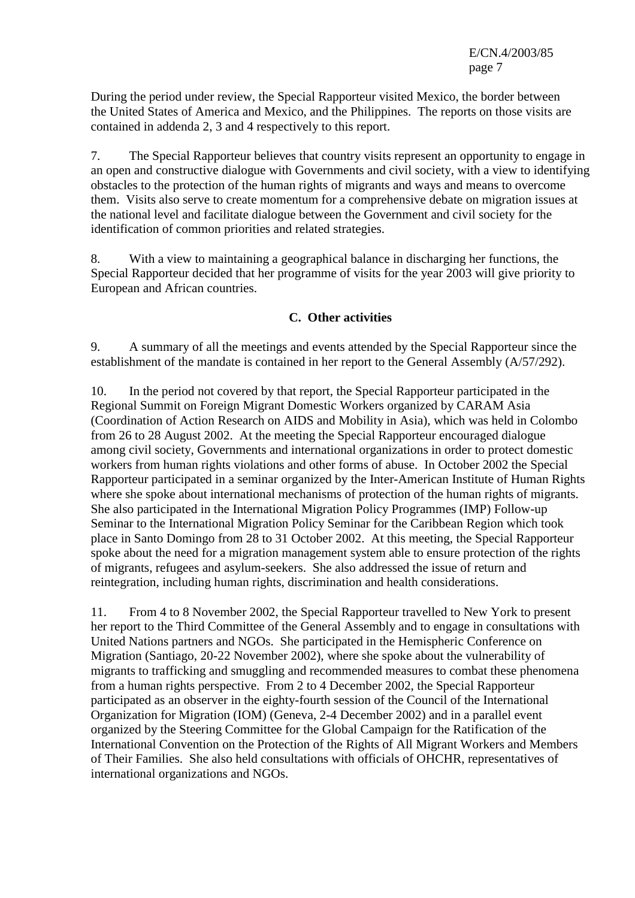During the period under review, the Special Rapporteur visited Mexico, the border between the United States of America and Mexico, and the Philippines. The reports on those visits are contained in addenda 2, 3 and 4 respectively to this report.

7. The Special Rapporteur believes that country visits represent an opportunity to engage in an open and constructive dialogue with Governments and civil society, with a view to identifying obstacles to the protection of the human rights of migrants and ways and means to overcome them. Visits also serve to create momentum for a comprehensive debate on migration issues at the national level and facilitate dialogue between the Government and civil society for the identification of common priorities and related strategies.

8. With a view to maintaining a geographical balance in discharging her functions, the Special Rapporteur decided that her programme of visits for the year 2003 will give priority to European and African countries.

# **C. Other activities**

9. A summary of all the meetings and events attended by the Special Rapporteur since the establishment of the mandate is contained in her report to the General Assembly (A/57/292).

10. In the period not covered by that report, the Special Rapporteur participated in the Regional Summit on Foreign Migrant Domestic Workers organized by CARAM Asia (Coordination of Action Research on AIDS and Mobility in Asia), which was held in Colombo from 26 to 28 August 2002. At the meeting the Special Rapporteur encouraged dialogue among civil society, Governments and international organizations in order to protect domestic workers from human rights violations and other forms of abuse. In October 2002 the Special Rapporteur participated in a seminar organized by the Inter-American Institute of Human Rights where she spoke about international mechanisms of protection of the human rights of migrants. She also participated in the International Migration Policy Programmes (IMP) Follow-up Seminar to the International Migration Policy Seminar for the Caribbean Region which took place in Santo Domingo from 28 to 31 October 2002. At this meeting, the Special Rapporteur spoke about the need for a migration management system able to ensure protection of the rights of migrants, refugees and asylum-seekers. She also addressed the issue of return and reintegration, including human rights, discrimination and health considerations.

11. From 4 to 8 November 2002, the Special Rapporteur travelled to New York to present her report to the Third Committee of the General Assembly and to engage in consultations with United Nations partners and NGOs. She participated in the Hemispheric Conference on Migration (Santiago, 20-22 November 2002), where she spoke about the vulnerability of migrants to trafficking and smuggling and recommended measures to combat these phenomena from a human rights perspective. From 2 to 4 December 2002, the Special Rapporteur participated as an observer in the eighty-fourth session of the Council of the International Organization for Migration (IOM) (Geneva, 2-4 December 2002) and in a parallel event organized by the Steering Committee for the Global Campaign for the Ratification of the International Convention on the Protection of the Rights of All Migrant Workers and Members of Their Families. She also held consultations with officials of OHCHR, representatives of international organizations and NGOs.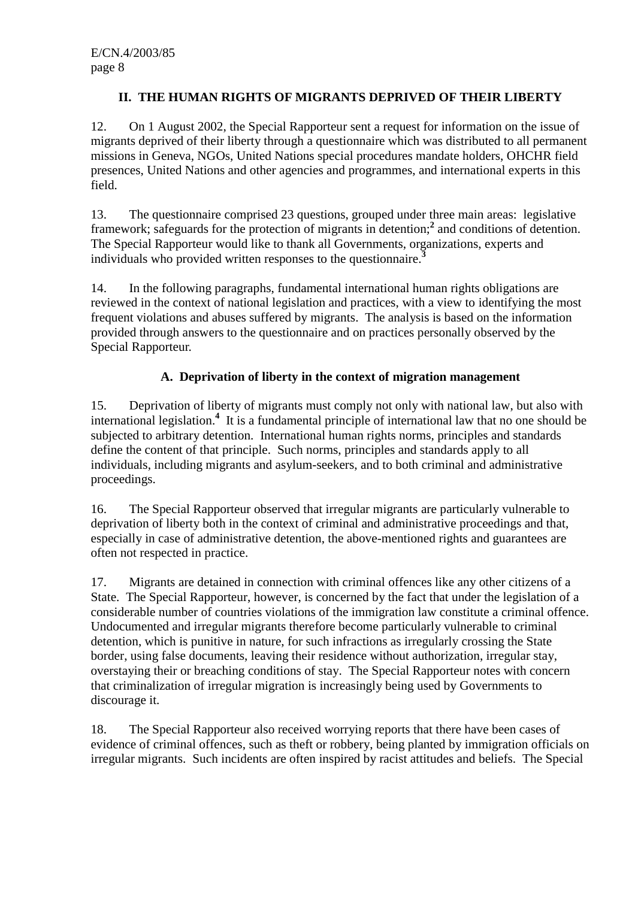# **II. THE HUMAN RIGHTS OF MIGRANTS DEPRIVED OF THEIR LIBERTY**

12. On 1 August 2002, the Special Rapporteur sent a request for information on the issue of migrants deprived of their liberty through a questionnaire which was distributed to all permanent missions in Geneva, NGOs, United Nations special procedures mandate holders, OHCHR field presences, United Nations and other agencies and programmes, and international experts in this field.

13. The questionnaire comprised 23 questions, grouped under three main areas: legislative framework; safeguards for the protection of migrants in detention;<sup>2</sup> and conditions of detention. The Special Rapporteur would like to thank all Governments, organizations, experts and individuals who provided written responses to the questionnaire.**<sup>3</sup>**

14. In the following paragraphs, fundamental international human rights obligations are reviewed in the context of national legislation and practices, with a view to identifying the most frequent violations and abuses suffered by migrants. The analysis is based on the information provided through answers to the questionnaire and on practices personally observed by the Special Rapporteur.

# **A. Deprivation of liberty in the context of migration management**

15. Deprivation of liberty of migrants must comply not only with national law, but also with international legislation.**<sup>4</sup>** It is a fundamental principle of international law that no one should be subjected to arbitrary detention. International human rights norms, principles and standards define the content of that principle. Such norms, principles and standards apply to all individuals, including migrants and asylum-seekers, and to both criminal and administrative proceedings.

16. The Special Rapporteur observed that irregular migrants are particularly vulnerable to deprivation of liberty both in the context of criminal and administrative proceedings and that, especially in case of administrative detention, the above-mentioned rights and guarantees are often not respected in practice.

17. Migrants are detained in connection with criminal offences like any other citizens of a State. The Special Rapporteur, however, is concerned by the fact that under the legislation of a considerable number of countries violations of the immigration law constitute a criminal offence. Undocumented and irregular migrants therefore become particularly vulnerable to criminal detention, which is punitive in nature, for such infractions as irregularly crossing the State border, using false documents, leaving their residence without authorization, irregular stay, overstaying their or breaching conditions of stay. The Special Rapporteur notes with concern that criminalization of irregular migration is increasingly being used by Governments to discourage it.

18. The Special Rapporteur also received worrying reports that there have been cases of evidence of criminal offences, such as theft or robbery, being planted by immigration officials on irregular migrants. Such incidents are often inspired by racist attitudes and beliefs. The Special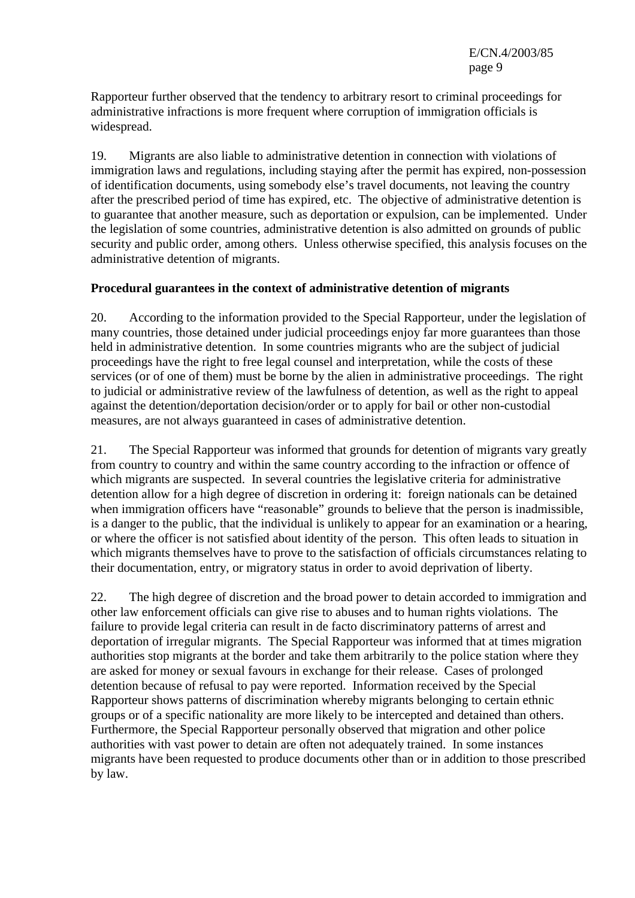Rapporteur further observed that the tendency to arbitrary resort to criminal proceedings for administrative infractions is more frequent where corruption of immigration officials is widespread.

19. Migrants are also liable to administrative detention in connection with violations of immigration laws and regulations, including staying after the permit has expired, non-possession of identification documents, using somebody else's travel documents, not leaving the country after the prescribed period of time has expired, etc. The objective of administrative detention is to guarantee that another measure, such as deportation or expulsion, can be implemented. Under the legislation of some countries, administrative detention is also admitted on grounds of public security and public order, among others. Unless otherwise specified, this analysis focuses on the administrative detention of migrants.

#### **Procedural guarantees in the context of administrative detention of migrants**

20. According to the information provided to the Special Rapporteur, under the legislation of many countries, those detained under judicial proceedings enjoy far more guarantees than those held in administrative detention. In some countries migrants who are the subject of judicial proceedings have the right to free legal counsel and interpretation, while the costs of these services (or of one of them) must be borne by the alien in administrative proceedings. The right to judicial or administrative review of the lawfulness of detention, as well as the right to appeal against the detention/deportation decision/order or to apply for bail or other non-custodial measures, are not always guaranteed in cases of administrative detention.

21. The Special Rapporteur was informed that grounds for detention of migrants vary greatly from country to country and within the same country according to the infraction or offence of which migrants are suspected. In several countries the legislative criteria for administrative detention allow for a high degree of discretion in ordering it: foreign nationals can be detained when immigration officers have "reasonable" grounds to believe that the person is inadmissible, is a danger to the public, that the individual is unlikely to appear for an examination or a hearing, or where the officer is not satisfied about identity of the person. This often leads to situation in which migrants themselves have to prove to the satisfaction of officials circumstances relating to their documentation, entry, or migratory status in order to avoid deprivation of liberty.

22. The high degree of discretion and the broad power to detain accorded to immigration and other law enforcement officials can give rise to abuses and to human rights violations. The failure to provide legal criteria can result in de facto discriminatory patterns of arrest and deportation of irregular migrants. The Special Rapporteur was informed that at times migration authorities stop migrants at the border and take them arbitrarily to the police station where they are asked for money or sexual favours in exchange for their release. Cases of prolonged detention because of refusal to pay were reported. Information received by the Special Rapporteur shows patterns of discrimination whereby migrants belonging to certain ethnic groups or of a specific nationality are more likely to be intercepted and detained than others. Furthermore, the Special Rapporteur personally observed that migration and other police authorities with vast power to detain are often not adequately trained. In some instances migrants have been requested to produce documents other than or in addition to those prescribed by law.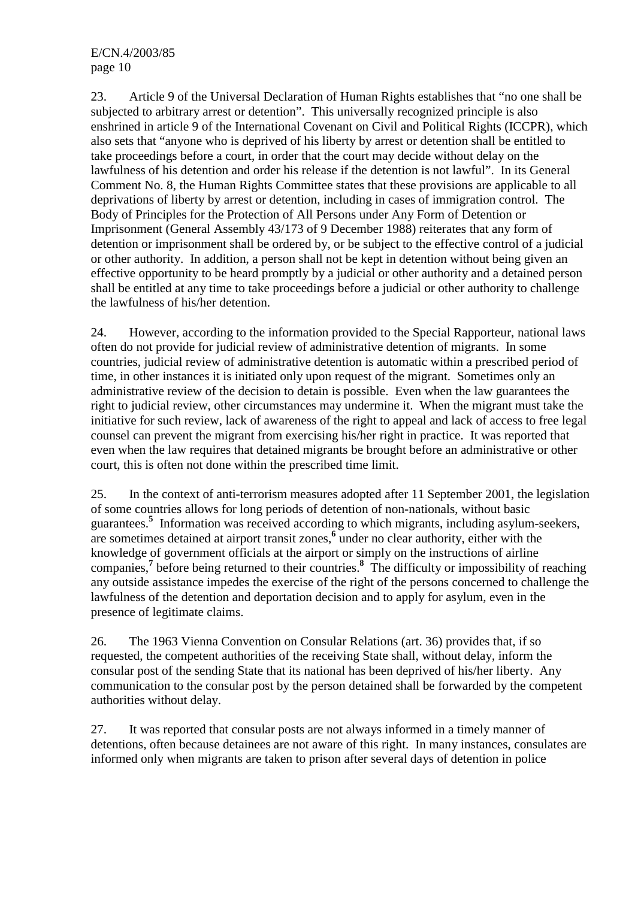23. Article 9 of the Universal Declaration of Human Rights establishes that "no one shall be subjected to arbitrary arrest or detention". This universally recognized principle is also enshrined in article 9 of the International Covenant on Civil and Political Rights (ICCPR), which also sets that "anyone who is deprived of his liberty by arrest or detention shall be entitled to take proceedings before a court, in order that the court may decide without delay on the lawfulness of his detention and order his release if the detention is not lawful". In its General Comment No. 8, the Human Rights Committee states that these provisions are applicable to all deprivations of liberty by arrest or detention, including in cases of immigration control. The Body of Principles for the Protection of All Persons under Any Form of Detention or Imprisonment (General Assembly 43/173 of 9 December 1988) reiterates that any form of detention or imprisonment shall be ordered by, or be subject to the effective control of a judicial or other authority. In addition, a person shall not be kept in detention without being given an effective opportunity to be heard promptly by a judicial or other authority and a detained person shall be entitled at any time to take proceedings before a judicial or other authority to challenge the lawfulness of his/her detention.

24. However, according to the information provided to the Special Rapporteur, national laws often do not provide for judicial review of administrative detention of migrants. In some countries, judicial review of administrative detention is automatic within a prescribed period of time, in other instances it is initiated only upon request of the migrant. Sometimes only an administrative review of the decision to detain is possible. Even when the law guarantees the right to judicial review, other circumstances may undermine it. When the migrant must take the initiative for such review, lack of awareness of the right to appeal and lack of access to free legal counsel can prevent the migrant from exercising his/her right in practice. It was reported that even when the law requires that detained migrants be brought before an administrative or other court, this is often not done within the prescribed time limit.

25. In the context of anti-terrorism measures adopted after 11 September 2001, the legislation of some countries allows for long periods of detention of non-nationals, without basic guarantees.**<sup>5</sup>** Information was received according to which migrants, including asylum-seekers, are sometimes detained at airport transit zones,<sup>6</sup> under no clear authority, either with the knowledge of government officials at the airport or simply on the instructions of airline companies,**<sup>7</sup>** before being returned to their countries.**<sup>8</sup>** The difficulty or impossibility of reaching any outside assistance impedes the exercise of the right of the persons concerned to challenge the lawfulness of the detention and deportation decision and to apply for asylum, even in the presence of legitimate claims.

26. The 1963 Vienna Convention on Consular Relations (art. 36) provides that, if so requested, the competent authorities of the receiving State shall, without delay, inform the consular post of the sending State that its national has been deprived of his/her liberty. Any communication to the consular post by the person detained shall be forwarded by the competent authorities without delay.

27. It was reported that consular posts are not always informed in a timely manner of detentions, often because detainees are not aware of this right. In many instances, consulates are informed only when migrants are taken to prison after several days of detention in police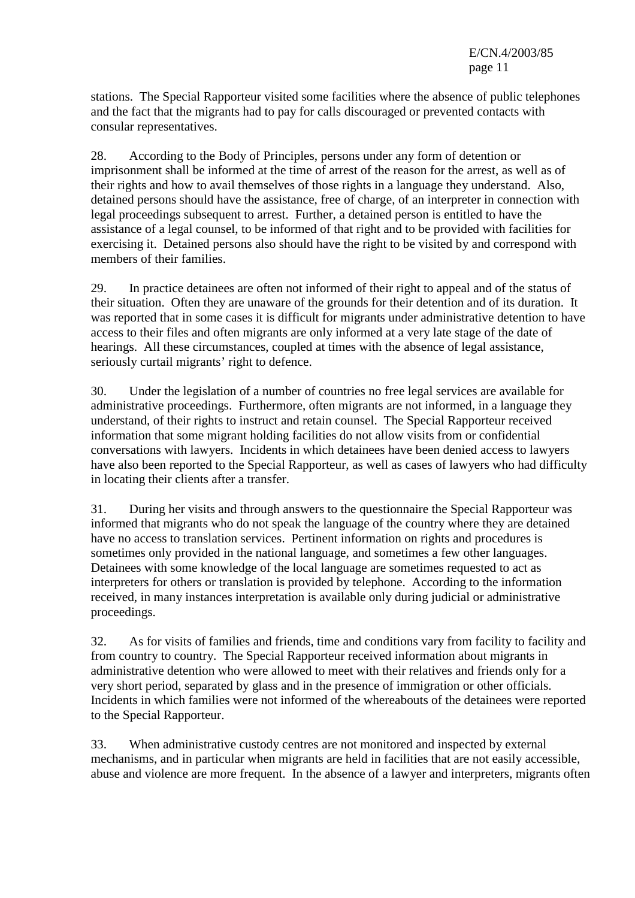stations. The Special Rapporteur visited some facilities where the absence of public telephones and the fact that the migrants had to pay for calls discouraged or prevented contacts with consular representatives.

28. According to the Body of Principles, persons under any form of detention or imprisonment shall be informed at the time of arrest of the reason for the arrest, as well as of their rights and how to avail themselves of those rights in a language they understand. Also, detained persons should have the assistance, free of charge, of an interpreter in connection with legal proceedings subsequent to arrest. Further, a detained person is entitled to have the assistance of a legal counsel, to be informed of that right and to be provided with facilities for exercising it. Detained persons also should have the right to be visited by and correspond with members of their families.

29. In practice detainees are often not informed of their right to appeal and of the status of their situation. Often they are unaware of the grounds for their detention and of its duration. It was reported that in some cases it is difficult for migrants under administrative detention to have access to their files and often migrants are only informed at a very late stage of the date of hearings. All these circumstances, coupled at times with the absence of legal assistance, seriously curtail migrants' right to defence.

30. Under the legislation of a number of countries no free legal services are available for administrative proceedings. Furthermore, often migrants are not informed, in a language they understand, of their rights to instruct and retain counsel. The Special Rapporteur received information that some migrant holding facilities do not allow visits from or confidential conversations with lawyers. Incidents in which detainees have been denied access to lawyers have also been reported to the Special Rapporteur, as well as cases of lawyers who had difficulty in locating their clients after a transfer.

31. During her visits and through answers to the questionnaire the Special Rapporteur was informed that migrants who do not speak the language of the country where they are detained have no access to translation services. Pertinent information on rights and procedures is sometimes only provided in the national language, and sometimes a few other languages. Detainees with some knowledge of the local language are sometimes requested to act as interpreters for others or translation is provided by telephone. According to the information received, in many instances interpretation is available only during judicial or administrative proceedings.

32. As for visits of families and friends, time and conditions vary from facility to facility and from country to country. The Special Rapporteur received information about migrants in administrative detention who were allowed to meet with their relatives and friends only for a very short period, separated by glass and in the presence of immigration or other officials. Incidents in which families were not informed of the whereabouts of the detainees were reported to the Special Rapporteur.

33. When administrative custody centres are not monitored and inspected by external mechanisms, and in particular when migrants are held in facilities that are not easily accessible, abuse and violence are more frequent. In the absence of a lawyer and interpreters, migrants often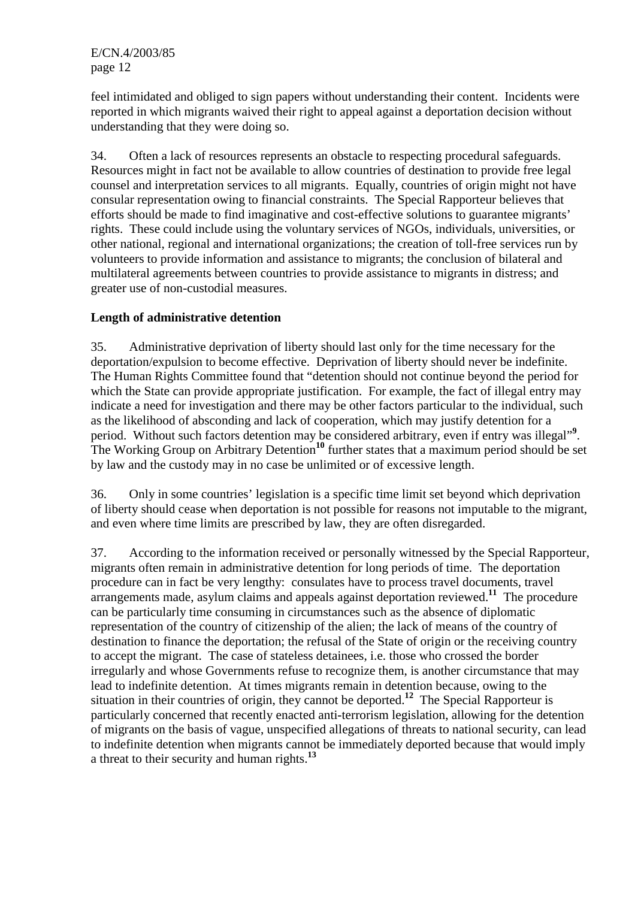feel intimidated and obliged to sign papers without understanding their content. Incidents were reported in which migrants waived their right to appeal against a deportation decision without understanding that they were doing so.

34. Often a lack of resources represents an obstacle to respecting procedural safeguards. Resources might in fact not be available to allow countries of destination to provide free legal counsel and interpretation services to all migrants. Equally, countries of origin might not have consular representation owing to financial constraints. The Special Rapporteur believes that efforts should be made to find imaginative and cost-effective solutions to guarantee migrants' rights. These could include using the voluntary services of NGOs, individuals, universities, or other national, regional and international organizations; the creation of toll-free services run by volunteers to provide information and assistance to migrants; the conclusion of bilateral and multilateral agreements between countries to provide assistance to migrants in distress; and greater use of non-custodial measures.

# **Length of administrative detention**

35. Administrative deprivation of liberty should last only for the time necessary for the deportation/expulsion to become effective. Deprivation of liberty should never be indefinite. The Human Rights Committee found that "detention should not continue beyond the period for which the State can provide appropriate justification. For example, the fact of illegal entry may indicate a need for investigation and there may be other factors particular to the individual, such as the likelihood of absconding and lack of cooperation, which may justify detention for a period. Without such factors detention may be considered arbitrary, even if entry was illegal"<sup>9</sup>. The Working Group on Arbitrary Detention**<sup>10</sup>** further states that a maximum period should be set by law and the custody may in no case be unlimited or of excessive length.

36. Only in some countries' legislation is a specific time limit set beyond which deprivation of liberty should cease when deportation is not possible for reasons not imputable to the migrant, and even where time limits are prescribed by law, they are often disregarded.

37. According to the information received or personally witnessed by the Special Rapporteur, migrants often remain in administrative detention for long periods of time. The deportation procedure can in fact be very lengthy: consulates have to process travel documents, travel arrangements made, asylum claims and appeals against deportation reviewed.**<sup>11</sup>** The procedure can be particularly time consuming in circumstances such as the absence of diplomatic representation of the country of citizenship of the alien; the lack of means of the country of destination to finance the deportation; the refusal of the State of origin or the receiving country to accept the migrant. The case of stateless detainees, i.e. those who crossed the border irregularly and whose Governments refuse to recognize them, is another circumstance that may lead to indefinite detention. At times migrants remain in detention because, owing to the situation in their countries of origin, they cannot be deported.**<sup>12</sup>** The Special Rapporteur is particularly concerned that recently enacted anti-terrorism legislation, allowing for the detention of migrants on the basis of vague, unspecified allegations of threats to national security, can lead to indefinite detention when migrants cannot be immediately deported because that would imply a threat to their security and human rights.**<sup>13</sup>**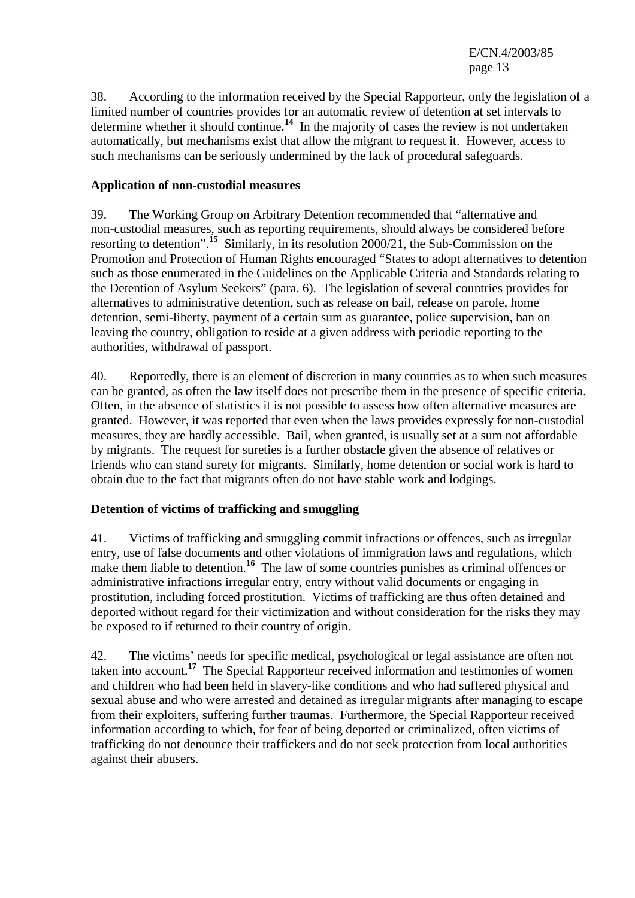38. According to the information received by the Special Rapporteur, only the legislation of a limited number of countries provides for an automatic review of detention at set intervals to determine whether it should continue.**<sup>14</sup>** In the majority of cases the review is not undertaken automatically, but mechanisms exist that allow the migrant to request it. However, access to such mechanisms can be seriously undermined by the lack of procedural safeguards.

# **Application of non-custodial measures**

39. The Working Group on Arbitrary Detention recommended that "alternative and non-custodial measures, such as reporting requirements, should always be considered before resorting to detention".**<sup>15</sup>** Similarly, in its resolution 2000/21, the Sub-Commission on the Promotion and Protection of Human Rights encouraged "States to adopt alternatives to detention such as those enumerated in the Guidelines on the Applicable Criteria and Standards relating to the Detention of Asylum Seekers" (para. 6). The legislation of several countries provides for alternatives to administrative detention, such as release on bail, release on parole, home detention, semi-liberty, payment of a certain sum as guarantee, police supervision, ban on leaving the country, obligation to reside at a given address with periodic reporting to the authorities, withdrawal of passport.

40. Reportedly, there is an element of discretion in many countries as to when such measures can be granted, as often the law itself does not prescribe them in the presence of specific criteria. Often, in the absence of statistics it is not possible to assess how often alternative measures are granted. However, it was reported that even when the laws provides expressly for non-custodial measures, they are hardly accessible. Bail, when granted, is usually set at a sum not affordable by migrants. The request for sureties is a further obstacle given the absence of relatives or friends who can stand surety for migrants. Similarly, home detention or social work is hard to obtain due to the fact that migrants often do not have stable work and lodgings.

# **Detention of victims of trafficking and smuggling**

41. Victims of trafficking and smuggling commit infractions or offences, such as irregular entry, use of false documents and other violations of immigration laws and regulations, which make them liable to detention.<sup>16</sup> The law of some countries punishes as criminal offences or administrative infractions irregular entry, entry without valid documents or engaging in prostitution, including forced prostitution. Victims of trafficking are thus often detained and deported without regard for their victimization and without consideration for the risks they may be exposed to if returned to their country of origin.

42. The victims' needs for specific medical, psychological or legal assistance are often not taken into account.**<sup>17</sup>** The Special Rapporteur received information and testimonies of women and children who had been held in slavery-like conditions and who had suffered physical and sexual abuse and who were arrested and detained as irregular migrants after managing to escape from their exploiters, suffering further traumas. Furthermore, the Special Rapporteur received information according to which, for fear of being deported or criminalized, often victims of trafficking do not denounce their traffickers and do not seek protection from local authorities against their abusers.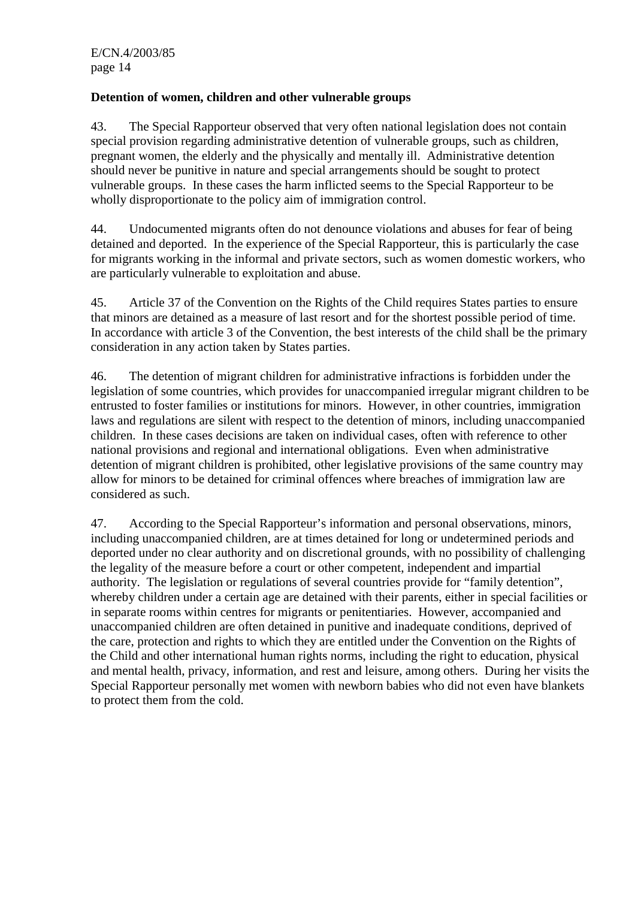# **Detention of women, children and other vulnerable groups**

43. The Special Rapporteur observed that very often national legislation does not contain special provision regarding administrative detention of vulnerable groups, such as children, pregnant women, the elderly and the physically and mentally ill. Administrative detention should never be punitive in nature and special arrangements should be sought to protect vulnerable groups. In these cases the harm inflicted seems to the Special Rapporteur to be wholly disproportionate to the policy aim of immigration control.

44. Undocumented migrants often do not denounce violations and abuses for fear of being detained and deported. In the experience of the Special Rapporteur, this is particularly the case for migrants working in the informal and private sectors, such as women domestic workers, who are particularly vulnerable to exploitation and abuse.

45. Article 37 of the Convention on the Rights of the Child requires States parties to ensure that minors are detained as a measure of last resort and for the shortest possible period of time. In accordance with article 3 of the Convention, the best interests of the child shall be the primary consideration in any action taken by States parties.

46. The detention of migrant children for administrative infractions is forbidden under the legislation of some countries, which provides for unaccompanied irregular migrant children to be entrusted to foster families or institutions for minors. However, in other countries, immigration laws and regulations are silent with respect to the detention of minors, including unaccompanied children. In these cases decisions are taken on individual cases, often with reference to other national provisions and regional and international obligations. Even when administrative detention of migrant children is prohibited, other legislative provisions of the same country may allow for minors to be detained for criminal offences where breaches of immigration law are considered as such.

47. According to the Special Rapporteur's information and personal observations, minors, including unaccompanied children, are at times detained for long or undetermined periods and deported under no clear authority and on discretional grounds, with no possibility of challenging the legality of the measure before a court or other competent, independent and impartial authority. The legislation or regulations of several countries provide for "family detention", whereby children under a certain age are detained with their parents, either in special facilities or in separate rooms within centres for migrants or penitentiaries. However, accompanied and unaccompanied children are often detained in punitive and inadequate conditions, deprived of the care, protection and rights to which they are entitled under the Convention on the Rights of the Child and other international human rights norms, including the right to education, physical and mental health, privacy, information, and rest and leisure, among others. During her visits the Special Rapporteur personally met women with newborn babies who did not even have blankets to protect them from the cold.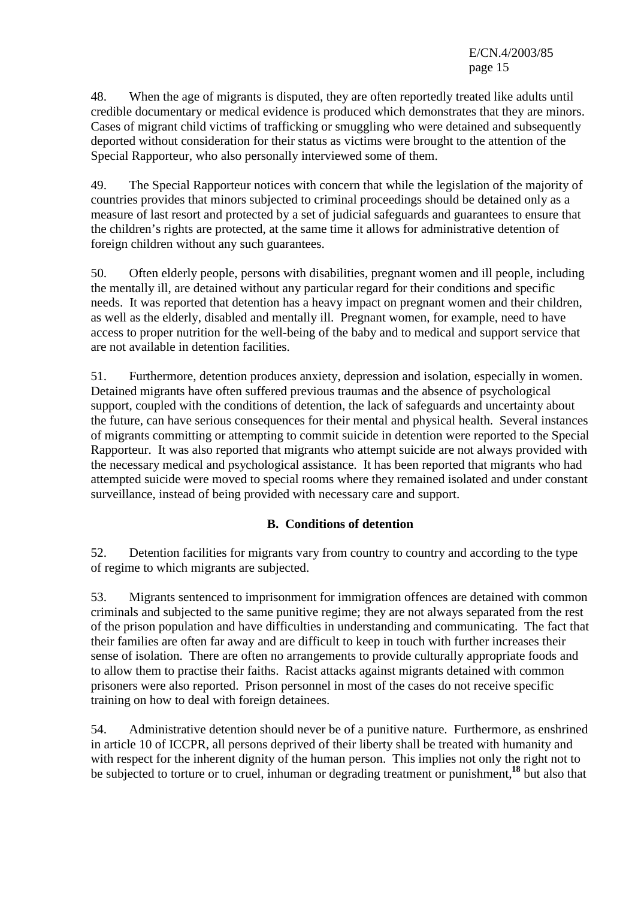48. When the age of migrants is disputed, they are often reportedly treated like adults until credible documentary or medical evidence is produced which demonstrates that they are minors. Cases of migrant child victims of trafficking or smuggling who were detained and subsequently deported without consideration for their status as victims were brought to the attention of the Special Rapporteur, who also personally interviewed some of them.

49. The Special Rapporteur notices with concern that while the legislation of the majority of countries provides that minors subjected to criminal proceedings should be detained only as a measure of last resort and protected by a set of judicial safeguards and guarantees to ensure that the children's rights are protected, at the same time it allows for administrative detention of foreign children without any such guarantees.

50. Often elderly people, persons with disabilities, pregnant women and ill people, including the mentally ill, are detained without any particular regard for their conditions and specific needs. It was reported that detention has a heavy impact on pregnant women and their children, as well as the elderly, disabled and mentally ill. Pregnant women, for example, need to have access to proper nutrition for the well-being of the baby and to medical and support service that are not available in detention facilities.

51. Furthermore, detention produces anxiety, depression and isolation, especially in women. Detained migrants have often suffered previous traumas and the absence of psychological support, coupled with the conditions of detention, the lack of safeguards and uncertainty about the future, can have serious consequences for their mental and physical health. Several instances of migrants committing or attempting to commit suicide in detention were reported to the Special Rapporteur. It was also reported that migrants who attempt suicide are not always provided with the necessary medical and psychological assistance. It has been reported that migrants who had attempted suicide were moved to special rooms where they remained isolated and under constant surveillance, instead of being provided with necessary care and support.

# **B. Conditions of detention**

52. Detention facilities for migrants vary from country to country and according to the type of regime to which migrants are subjected.

53. Migrants sentenced to imprisonment for immigration offences are detained with common criminals and subjected to the same punitive regime; they are not always separated from the rest of the prison population and have difficulties in understanding and communicating. The fact that their families are often far away and are difficult to keep in touch with further increases their sense of isolation. There are often no arrangements to provide culturally appropriate foods and to allow them to practise their faiths. Racist attacks against migrants detained with common prisoners were also reported. Prison personnel in most of the cases do not receive specific training on how to deal with foreign detainees.

54. Administrative detention should never be of a punitive nature. Furthermore, as enshrined in article 10 of ICCPR, all persons deprived of their liberty shall be treated with humanity and with respect for the inherent dignity of the human person. This implies not only the right not to be subjected to torture or to cruel, inhuman or degrading treatment or punishment,**<sup>18</sup>** but also that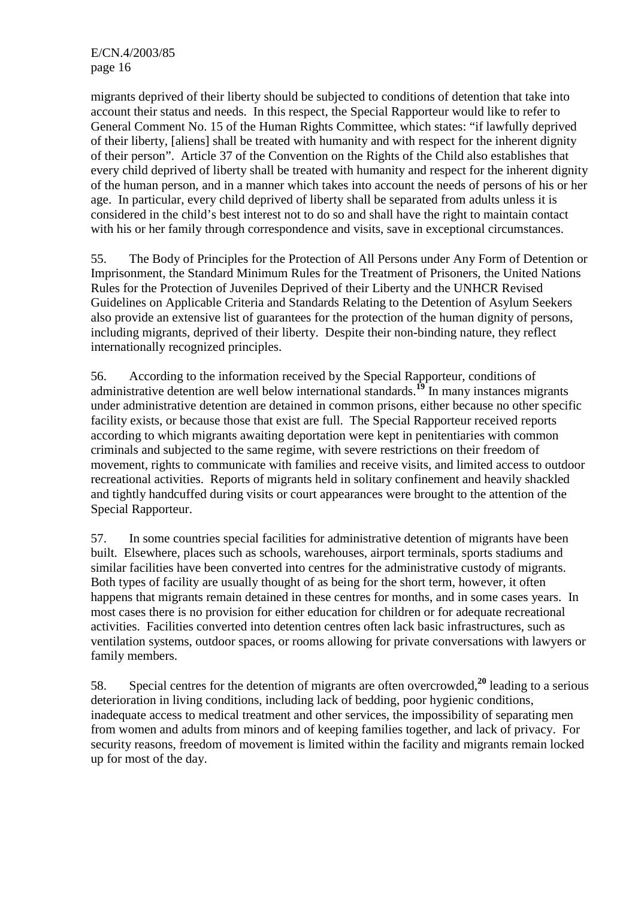migrants deprived of their liberty should be subjected to conditions of detention that take into account their status and needs. In this respect, the Special Rapporteur would like to refer to General Comment No. 15 of the Human Rights Committee, which states: "if lawfully deprived of their liberty, [aliens] shall be treated with humanity and with respect for the inherent dignity of their person". Article 37 of the Convention on the Rights of the Child also establishes that every child deprived of liberty shall be treated with humanity and respect for the inherent dignity of the human person, and in a manner which takes into account the needs of persons of his or her age. In particular, every child deprived of liberty shall be separated from adults unless it is considered in the child's best interest not to do so and shall have the right to maintain contact with his or her family through correspondence and visits, save in exceptional circumstances.

55. The Body of Principles for the Protection of All Persons under Any Form of Detention or Imprisonment, the Standard Minimum Rules for the Treatment of Prisoners, the United Nations Rules for the Protection of Juveniles Deprived of their Liberty and the UNHCR Revised Guidelines on Applicable Criteria and Standards Relating to the Detention of Asylum Seekers also provide an extensive list of guarantees for the protection of the human dignity of persons, including migrants, deprived of their liberty. Despite their non-binding nature, they reflect internationally recognized principles.

56. According to the information received by the Special Rapporteur, conditions of administrative detention are well below international standards.**<sup>19</sup>** In many instances migrants under administrative detention are detained in common prisons, either because no other specific facility exists, or because those that exist are full. The Special Rapporteur received reports according to which migrants awaiting deportation were kept in penitentiaries with common criminals and subjected to the same regime, with severe restrictions on their freedom of movement, rights to communicate with families and receive visits, and limited access to outdoor recreational activities. Reports of migrants held in solitary confinement and heavily shackled and tightly handcuffed during visits or court appearances were brought to the attention of the Special Rapporteur.

57. In some countries special facilities for administrative detention of migrants have been built. Elsewhere, places such as schools, warehouses, airport terminals, sports stadiums and similar facilities have been converted into centres for the administrative custody of migrants. Both types of facility are usually thought of as being for the short term, however, it often happens that migrants remain detained in these centres for months, and in some cases years. In most cases there is no provision for either education for children or for adequate recreational activities. Facilities converted into detention centres often lack basic infrastructures, such as ventilation systems, outdoor spaces, or rooms allowing for private conversations with lawyers or family members.

58. Special centres for the detention of migrants are often overcrowded,**<sup>20</sup>** leading to a serious deterioration in living conditions, including lack of bedding, poor hygienic conditions, inadequate access to medical treatment and other services, the impossibility of separating men from women and adults from minors and of keeping families together, and lack of privacy. For security reasons, freedom of movement is limited within the facility and migrants remain locked up for most of the day.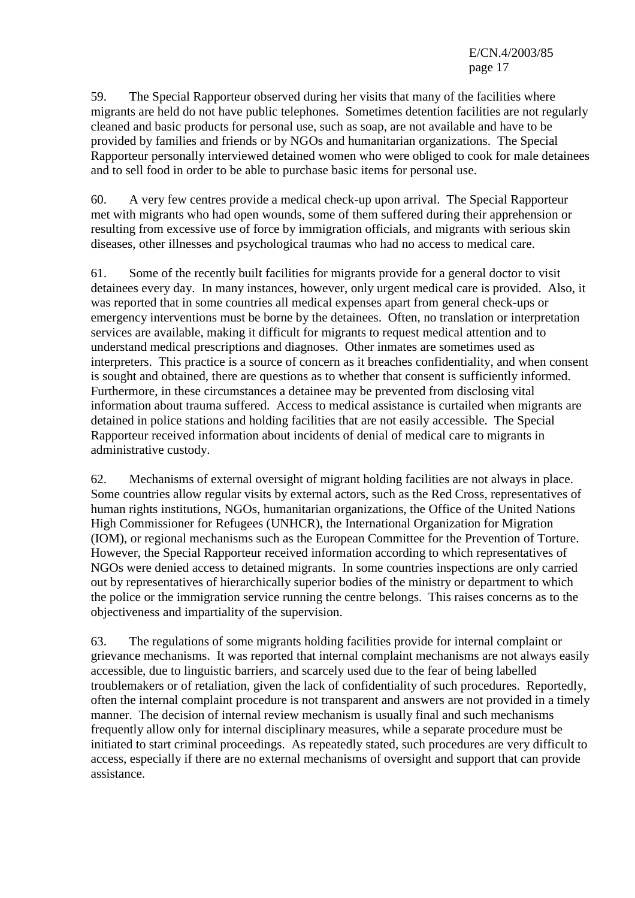59. The Special Rapporteur observed during her visits that many of the facilities where migrants are held do not have public telephones. Sometimes detention facilities are not regularly cleaned and basic products for personal use, such as soap, are not available and have to be provided by families and friends or by NGOs and humanitarian organizations. The Special Rapporteur personally interviewed detained women who were obliged to cook for male detainees and to sell food in order to be able to purchase basic items for personal use.

60. A very few centres provide a medical check-up upon arrival. The Special Rapporteur met with migrants who had open wounds, some of them suffered during their apprehension or resulting from excessive use of force by immigration officials, and migrants with serious skin diseases, other illnesses and psychological traumas who had no access to medical care.

61. Some of the recently built facilities for migrants provide for a general doctor to visit detainees every day. In many instances, however, only urgent medical care is provided. Also, it was reported that in some countries all medical expenses apart from general check-ups or emergency interventions must be borne by the detainees. Often, no translation or interpretation services are available, making it difficult for migrants to request medical attention and to understand medical prescriptions and diagnoses. Other inmates are sometimes used as interpreters. This practice is a source of concern as it breaches confidentiality, and when consent is sought and obtained, there are questions as to whether that consent is sufficiently informed. Furthermore, in these circumstances a detainee may be prevented from disclosing vital information about trauma suffered. Access to medical assistance is curtailed when migrants are detained in police stations and holding facilities that are not easily accessible. The Special Rapporteur received information about incidents of denial of medical care to migrants in administrative custody.

62. Mechanisms of external oversight of migrant holding facilities are not always in place. Some countries allow regular visits by external actors, such as the Red Cross, representatives of human rights institutions, NGOs, humanitarian organizations, the Office of the United Nations High Commissioner for Refugees (UNHCR), the International Organization for Migration (IOM), or regional mechanisms such as the European Committee for the Prevention of Torture. However, the Special Rapporteur received information according to which representatives of NGOs were denied access to detained migrants. In some countries inspections are only carried out by representatives of hierarchically superior bodies of the ministry or department to which the police or the immigration service running the centre belongs. This raises concerns as to the objectiveness and impartiality of the supervision.

63. The regulations of some migrants holding facilities provide for internal complaint or grievance mechanisms. It was reported that internal complaint mechanisms are not always easily accessible, due to linguistic barriers, and scarcely used due to the fear of being labelled troublemakers or of retaliation, given the lack of confidentiality of such procedures. Reportedly, often the internal complaint procedure is not transparent and answers are not provided in a timely manner. The decision of internal review mechanism is usually final and such mechanisms frequently allow only for internal disciplinary measures, while a separate procedure must be initiated to start criminal proceedings. As repeatedly stated, such procedures are very difficult to access, especially if there are no external mechanisms of oversight and support that can provide assistance.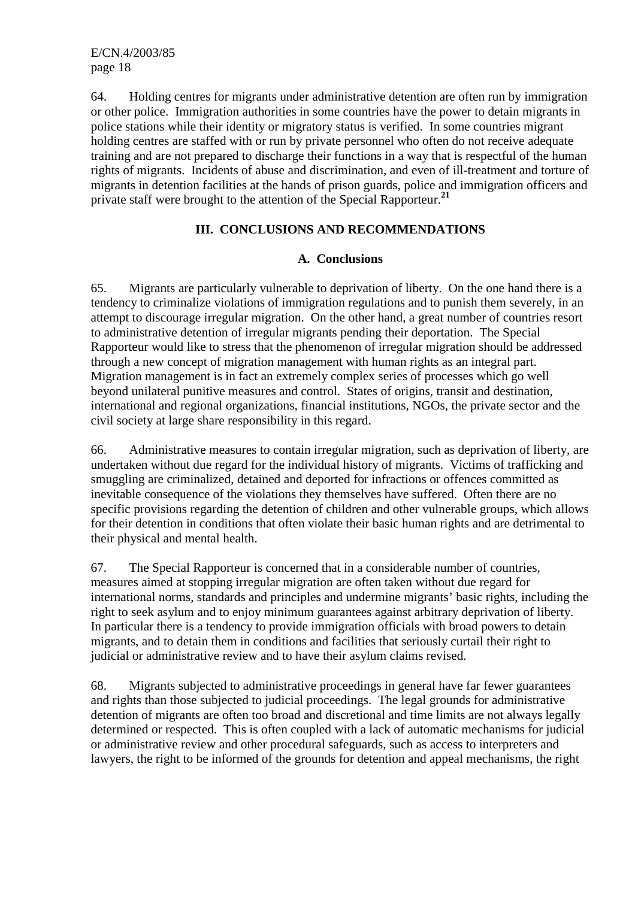64. Holding centres for migrants under administrative detention are often run by immigration or other police. Immigration authorities in some countries have the power to detain migrants in police stations while their identity or migratory status is verified. In some countries migrant holding centres are staffed with or run by private personnel who often do not receive adequate training and are not prepared to discharge their functions in a way that is respectful of the human rights of migrants. Incidents of abuse and discrimination, and even of ill-treatment and torture of migrants in detention facilities at the hands of prison guards, police and immigration officers and private staff were brought to the attention of the Special Rapporteur.**<sup>21</sup>**

# **III. CONCLUSIONS AND RECOMMENDATIONS**

# **A. Conclusions**

65. Migrants are particularly vulnerable to deprivation of liberty. On the one hand there is a tendency to criminalize violations of immigration regulations and to punish them severely, in an attempt to discourage irregular migration. On the other hand, a great number of countries resort to administrative detention of irregular migrants pending their deportation. The Special Rapporteur would like to stress that the phenomenon of irregular migration should be addressed through a new concept of migration management with human rights as an integral part. Migration management is in fact an extremely complex series of processes which go well beyond unilateral punitive measures and control. States of origins, transit and destination, international and regional organizations, financial institutions, NGOs, the private sector and the civil society at large share responsibility in this regard.

66. Administrative measures to contain irregular migration, such as deprivation of liberty, are undertaken without due regard for the individual history of migrants. Victims of trafficking and smuggling are criminalized, detained and deported for infractions or offences committed as inevitable consequence of the violations they themselves have suffered. Often there are no specific provisions regarding the detention of children and other vulnerable groups, which allows for their detention in conditions that often violate their basic human rights and are detrimental to their physical and mental health.

67. The Special Rapporteur is concerned that in a considerable number of countries, measures aimed at stopping irregular migration are often taken without due regard for international norms, standards and principles and undermine migrants' basic rights, including the right to seek asylum and to enjoy minimum guarantees against arbitrary deprivation of liberty. In particular there is a tendency to provide immigration officials with broad powers to detain migrants, and to detain them in conditions and facilities that seriously curtail their right to judicial or administrative review and to have their asylum claims revised.

68. Migrants subjected to administrative proceedings in general have far fewer guarantees and rights than those subjected to judicial proceedings. The legal grounds for administrative detention of migrants are often too broad and discretional and time limits are not always legally determined or respected. This is often coupled with a lack of automatic mechanisms for judicial or administrative review and other procedural safeguards, such as access to interpreters and lawyers, the right to be informed of the grounds for detention and appeal mechanisms, the right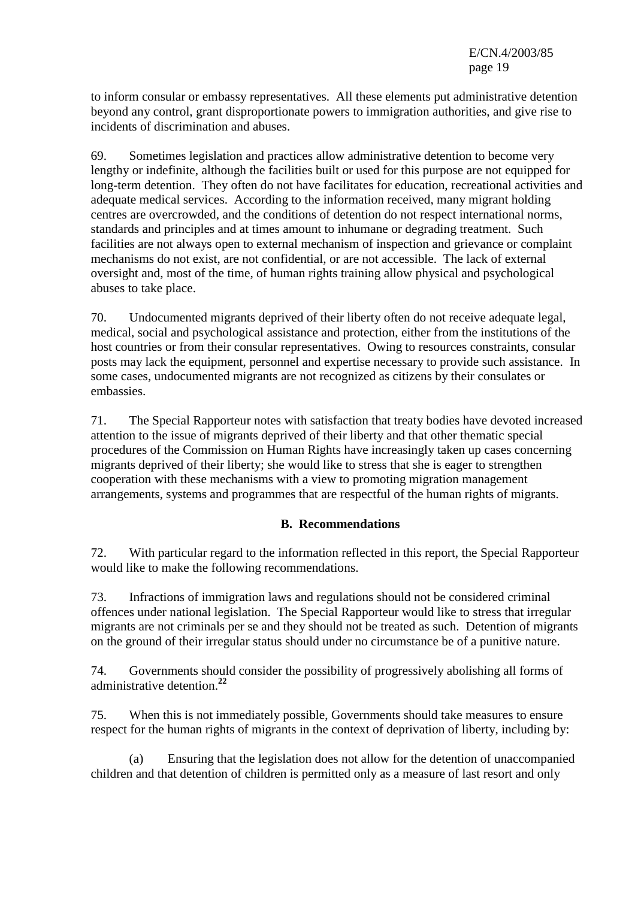to inform consular or embassy representatives. All these elements put administrative detention beyond any control, grant disproportionate powers to immigration authorities, and give rise to incidents of discrimination and abuses.

69. Sometimes legislation and practices allow administrative detention to become very lengthy or indefinite, although the facilities built or used for this purpose are not equipped for long-term detention. They often do not have facilitates for education, recreational activities and adequate medical services. According to the information received, many migrant holding centres are overcrowded, and the conditions of detention do not respect international norms, standards and principles and at times amount to inhumane or degrading treatment. Such facilities are not always open to external mechanism of inspection and grievance or complaint mechanisms do not exist, are not confidential, or are not accessible. The lack of external oversight and, most of the time, of human rights training allow physical and psychological abuses to take place.

70. Undocumented migrants deprived of their liberty often do not receive adequate legal, medical, social and psychological assistance and protection, either from the institutions of the host countries or from their consular representatives. Owing to resources constraints, consular posts may lack the equipment, personnel and expertise necessary to provide such assistance. In some cases, undocumented migrants are not recognized as citizens by their consulates or embassies.

71. The Special Rapporteur notes with satisfaction that treaty bodies have devoted increased attention to the issue of migrants deprived of their liberty and that other thematic special procedures of the Commission on Human Rights have increasingly taken up cases concerning migrants deprived of their liberty; she would like to stress that she is eager to strengthen cooperation with these mechanisms with a view to promoting migration management arrangements, systems and programmes that are respectful of the human rights of migrants.

# **B. Recommendations**

72. With particular regard to the information reflected in this report, the Special Rapporteur would like to make the following recommendations.

73. Infractions of immigration laws and regulations should not be considered criminal offences under national legislation. The Special Rapporteur would like to stress that irregular migrants are not criminals per se and they should not be treated as such. Detention of migrants on the ground of their irregular status should under no circumstance be of a punitive nature.

74. Governments should consider the possibility of progressively abolishing all forms of administrative detention.**<sup>22</sup>**

75. When this is not immediately possible, Governments should take measures to ensure respect for the human rights of migrants in the context of deprivation of liberty, including by:

 (a) Ensuring that the legislation does not allow for the detention of unaccompanied children and that detention of children is permitted only as a measure of last resort and only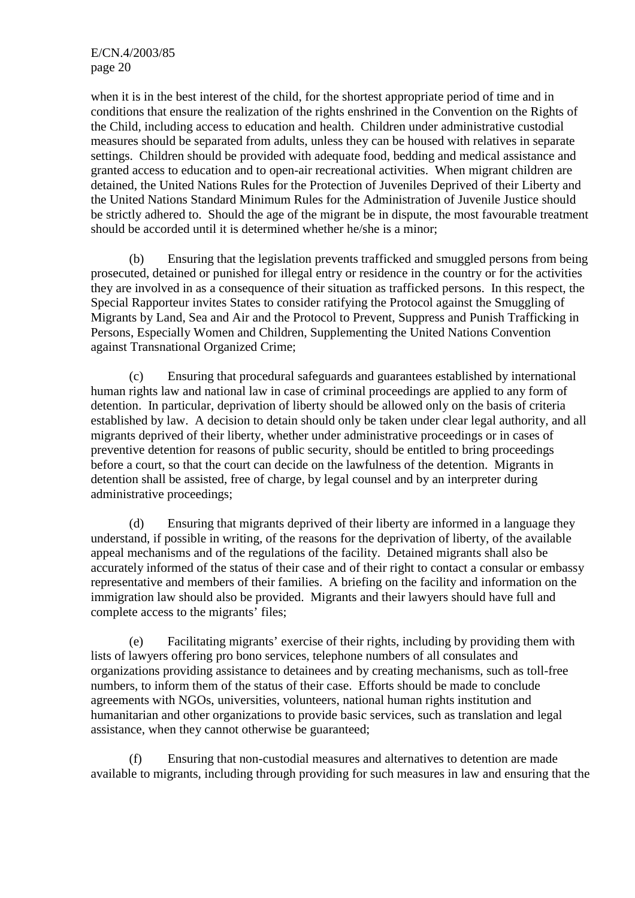when it is in the best interest of the child, for the shortest appropriate period of time and in conditions that ensure the realization of the rights enshrined in the Convention on the Rights of the Child, including access to education and health. Children under administrative custodial measures should be separated from adults, unless they can be housed with relatives in separate settings. Children should be provided with adequate food, bedding and medical assistance and granted access to education and to open-air recreational activities. When migrant children are detained, the United Nations Rules for the Protection of Juveniles Deprived of their Liberty and the United Nations Standard Minimum Rules for the Administration of Juvenile Justice should be strictly adhered to. Should the age of the migrant be in dispute, the most favourable treatment should be accorded until it is determined whether he/she is a minor;

 (b) Ensuring that the legislation prevents trafficked and smuggled persons from being prosecuted, detained or punished for illegal entry or residence in the country or for the activities they are involved in as a consequence of their situation as trafficked persons. In this respect, the Special Rapporteur invites States to consider ratifying the Protocol against the Smuggling of Migrants by Land, Sea and Air and the Protocol to Prevent, Suppress and Punish Trafficking in Persons, Especially Women and Children, Supplementing the United Nations Convention against Transnational Organized Crime;

 (c) Ensuring that procedural safeguards and guarantees established by international human rights law and national law in case of criminal proceedings are applied to any form of detention. In particular, deprivation of liberty should be allowed only on the basis of criteria established by law. A decision to detain should only be taken under clear legal authority, and all migrants deprived of their liberty, whether under administrative proceedings or in cases of preventive detention for reasons of public security, should be entitled to bring proceedings before a court, so that the court can decide on the lawfulness of the detention. Migrants in detention shall be assisted, free of charge, by legal counsel and by an interpreter during administrative proceedings;

 (d) Ensuring that migrants deprived of their liberty are informed in a language they understand, if possible in writing, of the reasons for the deprivation of liberty, of the available appeal mechanisms and of the regulations of the facility. Detained migrants shall also be accurately informed of the status of their case and of their right to contact a consular or embassy representative and members of their families. A briefing on the facility and information on the immigration law should also be provided. Migrants and their lawyers should have full and complete access to the migrants' files;

 (e) Facilitating migrants' exercise of their rights, including by providing them with lists of lawyers offering pro bono services, telephone numbers of all consulates and organizations providing assistance to detainees and by creating mechanisms, such as toll-free numbers, to inform them of the status of their case. Efforts should be made to conclude agreements with NGOs, universities, volunteers, national human rights institution and humanitarian and other organizations to provide basic services, such as translation and legal assistance, when they cannot otherwise be guaranteed;

 (f) Ensuring that non-custodial measures and alternatives to detention are made available to migrants, including through providing for such measures in law and ensuring that the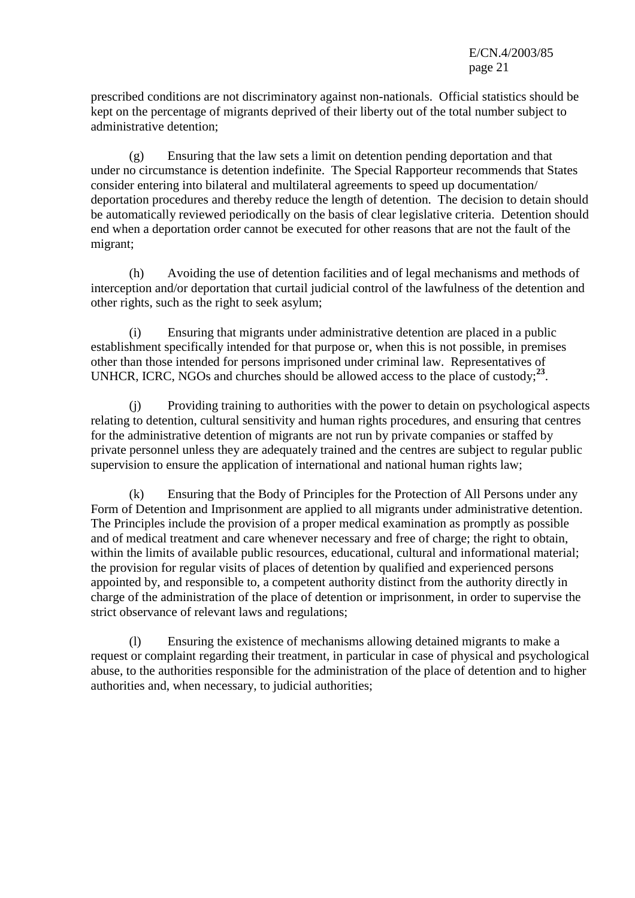prescribed conditions are not discriminatory against non-nationals. Official statistics should be kept on the percentage of migrants deprived of their liberty out of the total number subject to administrative detention;

 (g) Ensuring that the law sets a limit on detention pending deportation and that under no circumstance is detention indefinite. The Special Rapporteur recommends that States consider entering into bilateral and multilateral agreements to speed up documentation/ deportation procedures and thereby reduce the length of detention. The decision to detain should be automatically reviewed periodically on the basis of clear legislative criteria. Detention should end when a deportation order cannot be executed for other reasons that are not the fault of the migrant;

 (h) Avoiding the use of detention facilities and of legal mechanisms and methods of interception and/or deportation that curtail judicial control of the lawfulness of the detention and other rights, such as the right to seek asylum;

 (i) Ensuring that migrants under administrative detention are placed in a public establishment specifically intended for that purpose or, when this is not possible, in premises other than those intended for persons imprisoned under criminal law. Representatives of UNHCR, ICRC, NGOs and churches should be allowed access to the place of custody;**<sup>23</sup>**.

 (j) Providing training to authorities with the power to detain on psychological aspects relating to detention, cultural sensitivity and human rights procedures, and ensuring that centres for the administrative detention of migrants are not run by private companies or staffed by private personnel unless they are adequately trained and the centres are subject to regular public supervision to ensure the application of international and national human rights law;

 (k) Ensuring that the Body of Principles for the Protection of All Persons under any Form of Detention and Imprisonment are applied to all migrants under administrative detention. The Principles include the provision of a proper medical examination as promptly as possible and of medical treatment and care whenever necessary and free of charge; the right to obtain, within the limits of available public resources, educational, cultural and informational material; the provision for regular visits of places of detention by qualified and experienced persons appointed by, and responsible to, a competent authority distinct from the authority directly in charge of the administration of the place of detention or imprisonment, in order to supervise the strict observance of relevant laws and regulations;

 (l) Ensuring the existence of mechanisms allowing detained migrants to make a request or complaint regarding their treatment, in particular in case of physical and psychological abuse, to the authorities responsible for the administration of the place of detention and to higher authorities and, when necessary, to judicial authorities;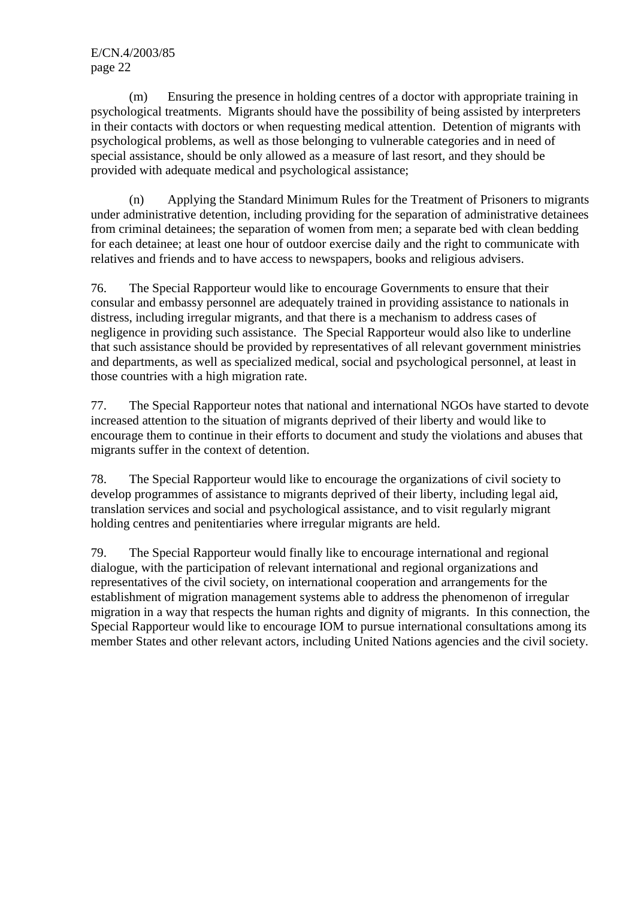(m) Ensuring the presence in holding centres of a doctor with appropriate training in psychological treatments. Migrants should have the possibility of being assisted by interpreters in their contacts with doctors or when requesting medical attention. Detention of migrants with psychological problems, as well as those belonging to vulnerable categories and in need of special assistance, should be only allowed as a measure of last resort, and they should be provided with adequate medical and psychological assistance;

 (n) Applying the Standard Minimum Rules for the Treatment of Prisoners to migrants under administrative detention, including providing for the separation of administrative detainees from criminal detainees; the separation of women from men; a separate bed with clean bedding for each detainee; at least one hour of outdoor exercise daily and the right to communicate with relatives and friends and to have access to newspapers, books and religious advisers.

76. The Special Rapporteur would like to encourage Governments to ensure that their consular and embassy personnel are adequately trained in providing assistance to nationals in distress, including irregular migrants, and that there is a mechanism to address cases of negligence in providing such assistance. The Special Rapporteur would also like to underline that such assistance should be provided by representatives of all relevant government ministries and departments, as well as specialized medical, social and psychological personnel, at least in those countries with a high migration rate.

77. The Special Rapporteur notes that national and international NGOs have started to devote increased attention to the situation of migrants deprived of their liberty and would like to encourage them to continue in their efforts to document and study the violations and abuses that migrants suffer in the context of detention.

78. The Special Rapporteur would like to encourage the organizations of civil society to develop programmes of assistance to migrants deprived of their liberty, including legal aid, translation services and social and psychological assistance, and to visit regularly migrant holding centres and penitentiaries where irregular migrants are held.

79. The Special Rapporteur would finally like to encourage international and regional dialogue, with the participation of relevant international and regional organizations and representatives of the civil society, on international cooperation and arrangements for the establishment of migration management systems able to address the phenomenon of irregular migration in a way that respects the human rights and dignity of migrants. In this connection, the Special Rapporteur would like to encourage IOM to pursue international consultations among its member States and other relevant actors, including United Nations agencies and the civil society.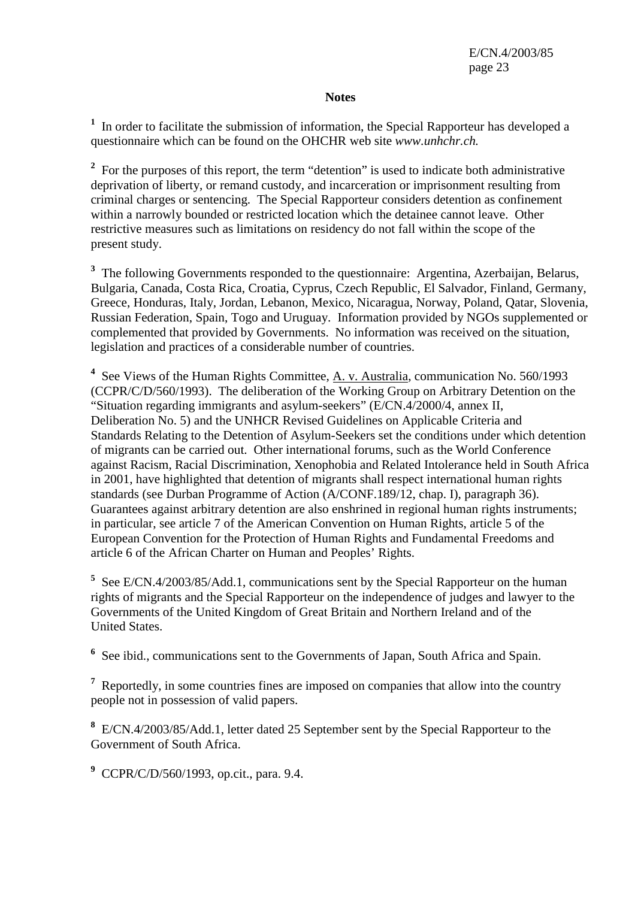#### **Notes**

<sup>1</sup> In order to facilitate the submission of information, the Special Rapporteur has developed a questionnaire which can be found on the OHCHR web site *www.unhchr.ch.*

<sup>2</sup> For the purposes of this report, the term "detention" is used to indicate both administrative deprivation of liberty, or remand custody, and incarceration or imprisonment resulting from criminal charges or sentencing. The Special Rapporteur considers detention as confinement within a narrowly bounded or restricted location which the detainee cannot leave. Other restrictive measures such as limitations on residency do not fall within the scope of the present study.

<sup>3</sup> The following Governments responded to the questionnaire: Argentina, Azerbaijan, Belarus, Bulgaria, Canada, Costa Rica, Croatia, Cyprus, Czech Republic, El Salvador, Finland, Germany, Greece, Honduras, Italy, Jordan, Lebanon, Mexico, Nicaragua, Norway, Poland, Qatar, Slovenia, Russian Federation, Spain, Togo and Uruguay. Information provided by NGOs supplemented or complemented that provided by Governments. No information was received on the situation, legislation and practices of a considerable number of countries.

<sup>4</sup> See Views of the Human Rights Committee, <u>A. v. Australia</u>, communication No. 560/1993 (CCPR/C/D/560/1993). The deliberation of the Working Group on Arbitrary Detention on the "Situation regarding immigrants and asylum-seekers" (E/CN.4/2000/4, annex II, Deliberation No. 5) and the UNHCR Revised Guidelines on Applicable Criteria and Standards Relating to the Detention of Asylum-Seekers set the conditions under which detention of migrants can be carried out. Other international forums, such as the World Conference against Racism, Racial Discrimination, Xenophobia and Related Intolerance held in South Africa in 2001, have highlighted that detention of migrants shall respect international human rights standards (see Durban Programme of Action (A/CONF.189/12, chap. I), paragraph 36). Guarantees against arbitrary detention are also enshrined in regional human rights instruments; in particular, see article 7 of the American Convention on Human Rights, article 5 of the European Convention for the Protection of Human Rights and Fundamental Freedoms and article 6 of the African Charter on Human and Peoples' Rights.

<sup>5</sup> See E/CN.4/2003/85/Add.1, communications sent by the Special Rapporteur on the human rights of migrants and the Special Rapporteur on the independence of judges and lawyer to the Governments of the United Kingdom of Great Britain and Northern Ireland and of the United States.

<sup>6</sup> See ibid., communications sent to the Governments of Japan, South Africa and Spain.

<sup>7</sup> Reportedly, in some countries fines are imposed on companies that allow into the country people not in possession of valid papers.

**8** E/CN.4/2003/85/Add.1, letter dated 25 September sent by the Special Rapporteur to the Government of South Africa.

**9** CCPR/C/D/560/1993, op.cit., para. 9.4.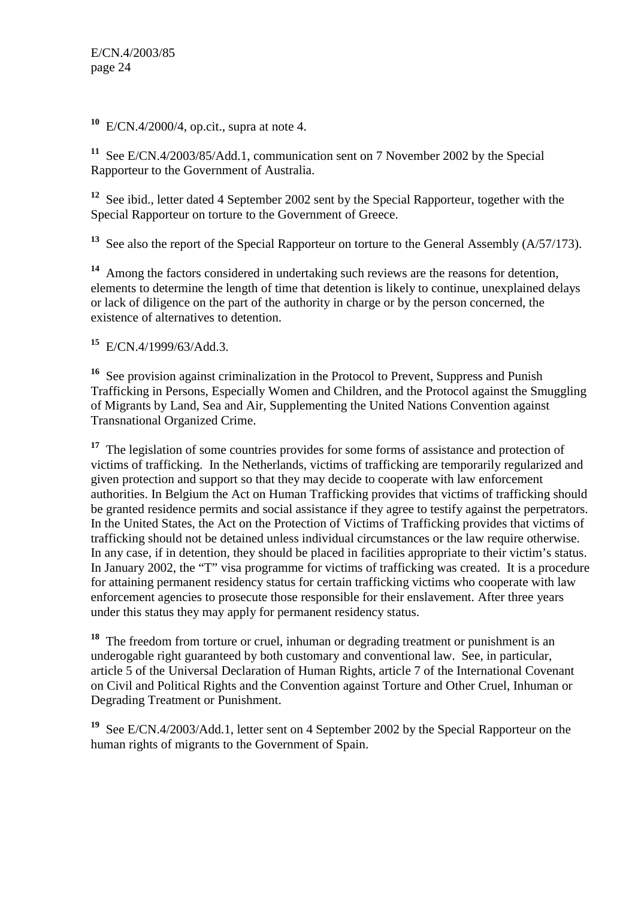**<sup>10</sup>** E/CN.4/2000/4, op.cit., supra at note 4.

**<sup>11</sup>** See E/CN.4/2003/85/Add.1, communication sent on 7 November 2002 by the Special Rapporteur to the Government of Australia.

**<sup>12</sup>** See ibid., letter dated 4 September 2002 sent by the Special Rapporteur, together with the Special Rapporteur on torture to the Government of Greece.

<sup>13</sup> See also the report of the Special Rapporteur on torture to the General Assembly (A/57/173).

**<sup>14</sup>** Among the factors considered in undertaking such reviews are the reasons for detention, elements to determine the length of time that detention is likely to continue, unexplained delays or lack of diligence on the part of the authority in charge or by the person concerned, the existence of alternatives to detention.

**<sup>15</sup>** E/CN.4/1999/63/Add.3.

**<sup>16</sup>** See provision against criminalization in the Protocol to Prevent, Suppress and Punish Trafficking in Persons, Especially Women and Children, and the Protocol against the Smuggling of Migrants by Land, Sea and Air, Supplementing the United Nations Convention against Transnational Organized Crime.

<sup>17</sup> The legislation of some countries provides for some forms of assistance and protection of victims of trafficking. In the Netherlands, victims of trafficking are temporarily regularized and given protection and support so that they may decide to cooperate with law enforcement authorities. In Belgium the Act on Human Trafficking provides that victims of trafficking should be granted residence permits and social assistance if they agree to testify against the perpetrators. In the United States, the Act on the Protection of Victims of Trafficking provides that victims of trafficking should not be detained unless individual circumstances or the law require otherwise. In any case, if in detention, they should be placed in facilities appropriate to their victim's status. In January 2002, the "T" visa programme for victims of trafficking was created. It is a procedure for attaining permanent residency status for certain trafficking victims who cooperate with law enforcement agencies to prosecute those responsible for their enslavement. After three years under this status they may apply for permanent residency status.

**<sup>18</sup>** The freedom from torture or cruel, inhuman or degrading treatment or punishment is an underogable right guaranteed by both customary and conventional law. See, in particular, article 5 of the Universal Declaration of Human Rights, article 7 of the International Covenant on Civil and Political Rights and the Convention against Torture and Other Cruel, Inhuman or Degrading Treatment or Punishment.

**<sup>19</sup>** See E/CN.4/2003/Add.1, letter sent on 4 September 2002 by the Special Rapporteur on the human rights of migrants to the Government of Spain.